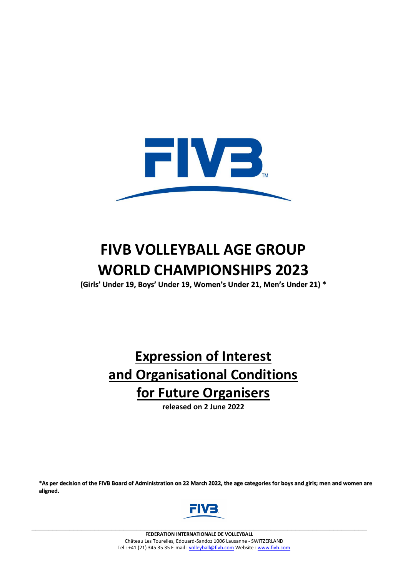

# **FIVB VOLLEYBALL AGE GROUP WORLD CHAMPIONSHIPS 2023**

**(Girls' Under 19, Boys' Under 19, Women's Under 21, Men's Under 21) \***

# **Expression of Interest and Organisational Conditions for Future Organisers**

**released on 2 June 2022**

\*As per decision of the FIVB Board of Administration on 22 March 2022, the age categories for boys and girls; men and women are **aligned.**



**\_\_\_\_\_\_\_\_\_\_\_\_\_\_\_\_\_\_\_\_\_\_\_\_\_\_\_\_\_\_\_\_\_\_\_\_\_\_\_\_\_\_\_\_\_\_\_\_\_\_\_\_\_\_\_\_\_\_\_\_\_\_\_\_\_\_\_\_\_\_\_\_\_\_\_\_\_\_\_\_**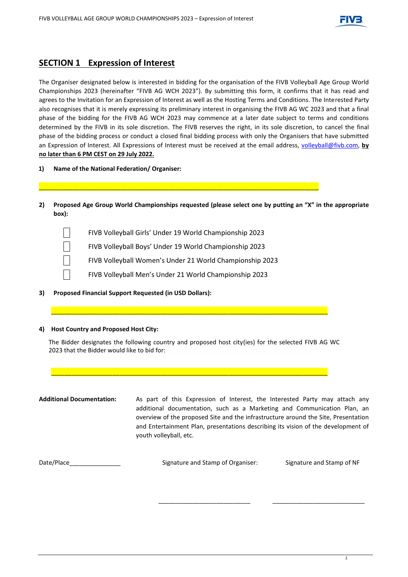

### **SECTION 1 Expression of Interest**

The Organiser designated below is interested in bidding for the organisation of the FIVB Volleyball Age Group World Championships 2023 (hereinafter "FIVB AG WCH 2023"). By submitting this form, it confirms that it has read and agrees to the Invitation for an Expression of Interest as well as the Hosting Terms and Conditions. The Interested Party also recognises that it is merely expressing its preliminary interest in organising the FIVB AG WC 2023 and that a final phase of the bidding for the FIVB AG WCH 2023 may commence at a later date subject to terms and conditions determined by the FIVB in its sole discretion. The FIVB reserves the right, in its sole discretion, to cancel the final phase of the bidding process or conduct a closed final bidding process with only the Organisers that have submitted an Expression of Interest. All Expressions of Interest must be received at the email address, [volleyball@fivb.com,](mailto:volleyball@fivb.com) **by no later than 6 PM CEST on 29 July 2022.**

- **1) Name of the National Federation/ Organiser:**
- **2) Proposed Age Group World Championships requested (please select one by putting an "X" in the appropriate box):**
	- FIVB Volleyball Girls' Under 19 World Championship 2023
	- FIVB Volleyball Boys' Under 19 World Championship 2023
	- FIVB Volleyball Women's Under 21 World Championship 2023

\_\_\_\_\_\_\_\_\_\_\_\_\_\_\_\_\_\_\_\_\_\_\_\_\_\_\_\_\_\_\_\_\_\_\_\_\_\_\_\_\_\_\_\_\_\_\_\_\_\_\_\_\_\_\_\_\_\_\_\_\_\_\_\_\_\_\_\_\_\_\_\_\_\_\_\_\_\_\_\_\_\_

- FIVB Volleyball Men's Under 21 World Championship 2023
- **3) Proposed Financial Support Requested (in USD Dollars):**

#### **4) Host Country and Proposed Host City:**

The Bidder designates the following country and proposed host city(ies) for the selected FIVB AG WC 2023 that the Bidder would like to bid for:

\_\_\_\_\_\_\_\_\_\_\_\_\_\_\_\_\_\_\_\_\_\_\_\_\_\_\_\_\_\_\_\_\_\_\_\_\_\_\_\_\_\_\_\_\_\_\_\_\_\_\_\_\_\_\_\_\_\_\_\_\_\_\_\_\_\_\_\_\_\_\_\_\_\_\_\_\_\_\_\_\_

\_\_\_\_\_\_\_\_\_\_\_\_\_\_\_\_\_\_\_\_\_\_\_\_\_\_\_\_\_\_\_\_\_\_\_\_\_\_\_\_\_\_\_\_\_\_\_\_\_\_\_\_\_\_\_\_\_\_\_\_\_\_\_\_\_\_\_\_\_\_\_\_\_\_\_\_\_\_\_\_\_

**Additional Documentation:** As part of this Expression of Interest, the Interested Party may attach any additional documentation, such as a Marketing and Communication Plan, an overview of the proposed Site and the infrastructure around the Site, Presentation and Entertainment Plan, presentations describing its vision of the development of youth volleyball, etc.

| Date/Place | Signature and Stamp of Organiser: | Signature and Stamp of NF |
|------------|-----------------------------------|---------------------------|
|            |                                   |                           |

\_\_\_\_\_\_\_\_\_\_\_\_\_\_\_\_\_\_\_\_\_\_\_\_\_\_\_ \_\_\_\_\_\_\_\_\_\_\_\_\_\_\_\_\_\_\_\_\_\_\_\_\_\_\_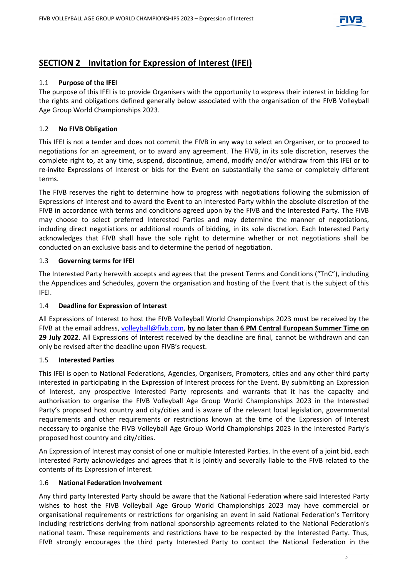

### **SECTION 2 Invitation for Expression of Interest (IFEI)**

### 1.1 **Purpose of the IFEI**

The purpose of this IFEI is to provide Organisers with the opportunity to express their interest in bidding for the rights and obligations defined generally below associated with the organisation of the FIVB Volleyball Age Group World Championships 2023.

### 1.2 **No FIVB Obligation**

This IFEI is not a tender and does not commit the FIVB in any way to select an Organiser, or to proceed to negotiations for an agreement, or to award any agreement. The FIVB, in its sole discretion, reserves the complete right to, at any time, suspend, discontinue, amend, modify and/or withdraw from this IFEI or to re-invite Expressions of Interest or bids for the Event on substantially the same or completely different terms.

The FIVB reserves the right to determine how to progress with negotiations following the submission of Expressions of Interest and to award the Event to an Interested Party within the absolute discretion of the FIVB in accordance with terms and conditions agreed upon by the FIVB and the Interested Party. The FIVB may choose to select preferred Interested Parties and may determine the manner of negotiations, including direct negotiations or additional rounds of bidding, in its sole discretion. Each Interested Party acknowledges that FIVB shall have the sole right to determine whether or not negotiations shall be conducted on an exclusive basis and to determine the period of negotiation.

### 1.3 **Governing terms for IFEI**

The Interested Party herewith accepts and agrees that the present Terms and Conditions ("TnC"), including the Appendices and Schedules, govern the organisation and hosting of the Event that is the subject of this IFEI.

### 1.4 **Deadline for Expression of Interest**

All Expressions of Interest to host the FIVB Volleyball World Championships 2023 must be received by the FIVB at the email address, [volleyball@fivb.com,](mailto:volleyball@fivb.com) **by no later than 6 PM Central European Summer Time on 29 July 2022**. All Expressions of Interest received by the deadline are final, cannot be withdrawn and can only be revised after the deadline upon FIVB's request.

### 1.5 **Interested Parties**

This IFEI is open to National Federations, Agencies, Organisers, Promoters, cities and any other third party interested in participating in the Expression of Interest process for the Event. By submitting an Expression of Interest, any prospective Interested Party represents and warrants that it has the capacity and authorisation to organise the FIVB Volleyball Age Group World Championships 2023 in the Interested Party's proposed host country and city/cities and is aware of the relevant local legislation, governmental requirements and other requirements or restrictions known at the time of the Expression of Interest necessary to organise the FIVB Volleyball Age Group World Championships 2023 in the Interested Party's proposed host country and city/cities.

An Expression of Interest may consist of one or multiple Interested Parties. In the event of a joint bid, each Interested Party acknowledges and agrees that it is jointly and severally liable to the FIVB related to the contents of its Expression of Interest.

### 1.6 **National Federation Involvement**

Any third party Interested Party should be aware that the National Federation where said Interested Party wishes to host the FIVB Volleyball Age Group World Championships 2023 may have commercial or organisational requirements or restrictions for organising an event in said National Federation's Territory including restrictions deriving from national sponsorship agreements related to the National Federation's national team. These requirements and restrictions have to be respected by the Interested Party. Thus, FIVB strongly encourages the third party Interested Party to contact the National Federation in the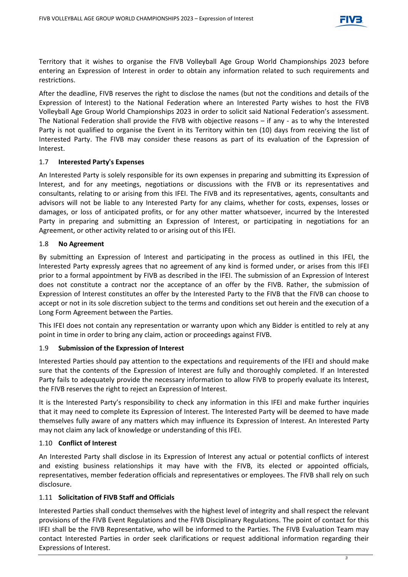

Territory that it wishes to organise the FIVB Volleyball Age Group World Championships 2023 before entering an Expression of Interest in order to obtain any information related to such requirements and restrictions.

After the deadline, FIVB reserves the right to disclose the names (but not the conditions and details of the Expression of Interest) to the National Federation where an Interested Party wishes to host the FIVB Volleyball Age Group World Championships 2023 in order to solicit said National Federation's assessment. The National Federation shall provide the FIVB with objective reasons – if any - as to why the Interested Party is not qualified to organise the Event in its Territory within ten (10) days from receiving the list of Interested Party. The FIVB may consider these reasons as part of its evaluation of the Expression of Interest.

### 1.7 **Interested Party's Expenses**

An Interested Party is solely responsible for its own expenses in preparing and submitting its Expression of Interest, and for any meetings, negotiations or discussions with the FIVB or its representatives and consultants, relating to or arising from this IFEI. The FIVB and its representatives, agents, consultants and advisors will not be liable to any Interested Party for any claims, whether for costs, expenses, losses or damages, or loss of anticipated profits, or for any other matter whatsoever, incurred by the Interested Party in preparing and submitting an Expression of Interest, or participating in negotiations for an Agreement, or other activity related to or arising out of this IFEI.

### 1.8 **No Agreement**

By submitting an Expression of Interest and participating in the process as outlined in this IFEI, the Interested Party expressly agrees that no agreement of any kind is formed under, or arises from this IFEI prior to a formal appointment by FIVB as described in the IFEI. The submission of an Expression of Interest does not constitute a contract nor the acceptance of an offer by the FIVB. Rather, the submission of Expression of Interest constitutes an offer by the Interested Party to the FIVB that the FIVB can choose to accept or not in its sole discretion subject to the terms and conditions set out herein and the execution of a Long Form Agreement between the Parties.

This IFEI does not contain any representation or warranty upon which any Bidder is entitled to rely at any point in time in order to bring any claim, action or proceedings against FIVB.

### 1.9 **Submission of the Expression of Interest**

Interested Parties should pay attention to the expectations and requirements of the IFEI and should make sure that the contents of the Expression of Interest are fully and thoroughly completed. If an Interested Party fails to adequately provide the necessary information to allow FIVB to properly evaluate its Interest, the FIVB reserves the right to reject an Expression of Interest.

It is the Interested Party's responsibility to check any information in this IFEI and make further inquiries that it may need to complete its Expression of Interest. The Interested Party will be deemed to have made themselves fully aware of any matters which may influence its Expression of Interest. An Interested Party may not claim any lack of knowledge or understanding of this IFEI.

### 1.10 **Conflict of Interest**

An Interested Party shall disclose in its Expression of Interest any actual or potential conflicts of interest and existing business relationships it may have with the FIVB, its elected or appointed officials, representatives, member federation officials and representatives or employees. The FIVB shall rely on such disclosure.

### 1.11 **Solicitation of FIVB Staff and Officials**

Interested Parties shall conduct themselves with the highest level of integrity and shall respect the relevant provisions of the FIVB Event Regulations and the FIVB Disciplinary Regulations. The point of contact for this IFEI shall be the FIVB Representative, who will be informed to the Parties. The FIVB Evaluation Team may contact Interested Parties in order seek clarifications or request additional information regarding their Expressions of Interest.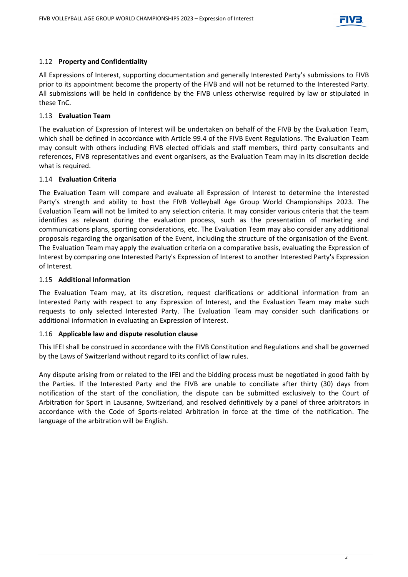

### 1.12 **Property and Confidentiality**

All Expressions of Interest, supporting documentation and generally Interested Party's submissions to FIVB prior to its appointment become the property of the FIVB and will not be returned to the Interested Party. All submissions will be held in confidence by the FIVB unless otherwise required by law or stipulated in these TnC.

### 1.13 **Evaluation Team**

The evaluation of Expression of Interest will be undertaken on behalf of the FIVB by the Evaluation Team, which shall be defined in accordance with Article 99.4 of the FIVB Event Regulations. The Evaluation Team may consult with others including FIVB elected officials and staff members, third party consultants and references, FIVB representatives and event organisers, as the Evaluation Team may in its discretion decide what is required.

### 1.14 **Evaluation Criteria**

The Evaluation Team will compare and evaluate all Expression of Interest to determine the Interested Party's strength and ability to host the FIVB Volleyball Age Group World Championships 2023. The Evaluation Team will not be limited to any selection criteria. It may consider various criteria that the team identifies as relevant during the evaluation process, such as the presentation of marketing and communications plans, sporting considerations, etc. The Evaluation Team may also consider any additional proposals regarding the organisation of the Event, including the structure of the organisation of the Event. The Evaluation Team may apply the evaluation criteria on a comparative basis, evaluating the Expression of Interest by comparing one Interested Party's Expression of Interest to another Interested Party's Expression of Interest.

### 1.15 **Additional Information**

The Evaluation Team may, at its discretion, request clarifications or additional information from an Interested Party with respect to any Expression of Interest, and the Evaluation Team may make such requests to only selected Interested Party. The Evaluation Team may consider such clarifications or additional information in evaluating an Expression of Interest.

### 1.16 **Applicable law and dispute resolution clause**

This IFEI shall be construed in accordance with the FIVB Constitution and Regulations and shall be governed by the Laws of Switzerland without regard to its conflict of law rules.

Any dispute arising from or related to the IFEI and the bidding process must be negotiated in good faith by the Parties. If the Interested Party and the FIVB are unable to conciliate after thirty (30) days from notification of the start of the conciliation, the dispute can be submitted exclusively to the Court of Arbitration for Sport in Lausanne, Switzerland, and resolved definitively by a panel of three arbitrators in accordance with the Code of Sports-related Arbitration in force at the time of the notification. The language of the arbitration will be English.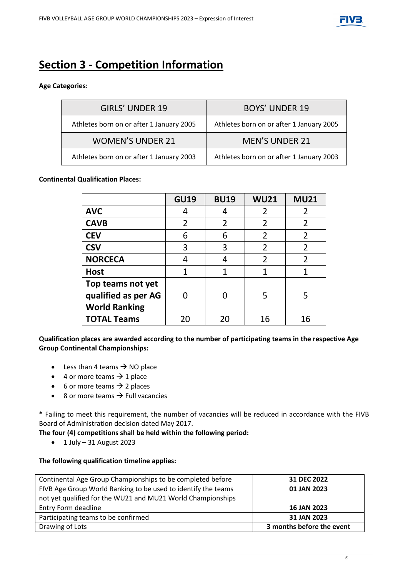

# **Section 3 - Competition Information**

### **Age Categories:**

| <b>GIRLS' UNDER 19</b>                   | <b>BOYS' UNDER 19</b>                    |
|------------------------------------------|------------------------------------------|
| Athletes born on or after 1 January 2005 | Athletes born on or after 1 January 2005 |
| <b>WOMEN'S UNDER 21</b>                  | <b>MEN'S UNDER 21</b>                    |
| Athletes born on or after 1 January 2003 | Athletes born on or after 1 January 2003 |

### **Continental Qualification Places:**

|                      | <b>GU19</b> | <b>BU19</b> | <b>WU21</b>    | <b>MU21</b>    |
|----------------------|-------------|-------------|----------------|----------------|
| <b>AVC</b>           | 4           |             | 2              | 2              |
| <b>CAVB</b>          | 2           | 2           | $\overline{2}$ | 2              |
| <b>CEV</b>           | 6           | 6           | $\overline{2}$ | $\overline{2}$ |
| <b>CSV</b>           | 3           | 3           | $\overline{2}$ | 2              |
| <b>NORCECA</b>       | 4           |             | $\overline{2}$ | $\overline{2}$ |
| <b>Host</b>          | 1           | 1           | 1              |                |
| Top teams not yet    |             |             |                |                |
| qualified as per AG  |             |             | 5              | 5              |
| <b>World Ranking</b> |             |             |                |                |
| <b>TOTAL Teams</b>   | 20          | 20          | 16             | 16             |

**Qualification places are awarded according to the number of participating teams in the respective Age Group Continental Championships:**

- Less than 4 teams  $\rightarrow$  NO place
- 4 or more teams  $\rightarrow$  1 place
- 6 or more teams  $\rightarrow$  2 places
- 8 or more teams  $\rightarrow$  Full vacancies

**\*** Failing to meet this requirement, the number of vacancies will be reduced in accordance with the FIVB Board of Administration decision dated May 2017.

**The four (4) competitions shall be held within the following period:** 

 $\bullet$  1 July – 31 August 2023

### **The following qualification timeline applies:**

| Continental Age Group Championships to be completed before    | 31 DEC 2022               |
|---------------------------------------------------------------|---------------------------|
| FIVB Age Group World Ranking to be used to identify the teams | 01 JAN 2023               |
| not yet qualified for the WU21 and MU21 World Championships   |                           |
| Entry Form deadline                                           | <b>16 JAN 2023</b>        |
| Participating teams to be confirmed                           | 31 JAN 2023               |
| Drawing of Lots                                               | 3 months before the event |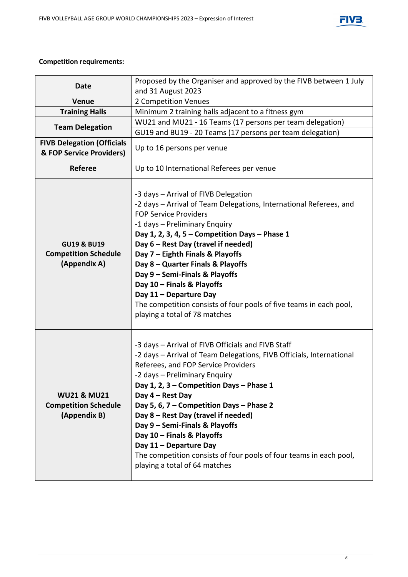



### **Competition requirements:**

| <b>Date</b>                                                           | Proposed by the Organiser and approved by the FIVB between 1 July                                                                                                                                                                                                                                                                                                                                                                                                                                                                                      |  |
|-----------------------------------------------------------------------|--------------------------------------------------------------------------------------------------------------------------------------------------------------------------------------------------------------------------------------------------------------------------------------------------------------------------------------------------------------------------------------------------------------------------------------------------------------------------------------------------------------------------------------------------------|--|
|                                                                       | and 31 August 2023<br>2 Competition Venues                                                                                                                                                                                                                                                                                                                                                                                                                                                                                                             |  |
| Venue                                                                 |                                                                                                                                                                                                                                                                                                                                                                                                                                                                                                                                                        |  |
| <b>Training Halls</b>                                                 | Minimum 2 training halls adjacent to a fitness gym<br>WU21 and MU21 - 16 Teams (17 persons per team delegation)                                                                                                                                                                                                                                                                                                                                                                                                                                        |  |
| <b>Team Delegation</b>                                                |                                                                                                                                                                                                                                                                                                                                                                                                                                                                                                                                                        |  |
|                                                                       | GU19 and BU19 - 20 Teams (17 persons per team delegation)                                                                                                                                                                                                                                                                                                                                                                                                                                                                                              |  |
| <b>FIVB Delegation (Officials</b>                                     | Up to 16 persons per venue                                                                                                                                                                                                                                                                                                                                                                                                                                                                                                                             |  |
| & FOP Service Providers)                                              |                                                                                                                                                                                                                                                                                                                                                                                                                                                                                                                                                        |  |
| <b>Referee</b>                                                        | Up to 10 International Referees per venue                                                                                                                                                                                                                                                                                                                                                                                                                                                                                                              |  |
| <b>GU19 &amp; BU19</b><br><b>Competition Schedule</b><br>(Appendix A) | -3 days - Arrival of FIVB Delegation<br>-2 days - Arrival of Team Delegations, International Referees, and<br><b>FOP Service Providers</b><br>-1 days - Preliminary Enquiry<br>Day 1, 2, 3, 4, 5 - Competition Days - Phase 1<br>Day 6 - Rest Day (travel if needed)<br>Day 7 - Eighth Finals & Playoffs<br>Day 8 - Quarter Finals & Playoffs<br>Day 9 - Semi-Finals & Playoffs<br>Day 10 - Finals & Playoffs<br>Day 11 - Departure Day<br>The competition consists of four pools of five teams in each pool,<br>playing a total of 78 matches         |  |
| <b>WU21 &amp; MU21</b><br><b>Competition Schedule</b><br>(Appendix B) | -3 days - Arrival of FIVB Officials and FIVB Staff<br>-2 days - Arrival of Team Delegations, FIVB Officials, International<br>Referees, and FOP Service Providers<br>-2 days - Preliminary Enquiry<br>Day 1, 2, 3 – Competition Days – Phase 1<br>Day 4 - Rest Day<br>Day 5, 6, 7 - Competition Days - Phase 2<br>Day 8 - Rest Day (travel if needed)<br>Day 9 - Semi-Finals & Playoffs<br>Day 10 - Finals & Playoffs<br>Day 11 - Departure Day<br>The competition consists of four pools of four teams in each pool,<br>playing a total of 64 matches |  |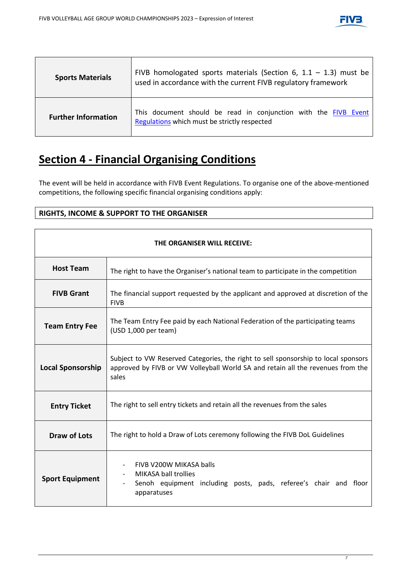

| <b>Sports Materials</b>    | FIVB homologated sports materials (Section 6, $1.1 - 1.3$ ) must be<br>used in accordance with the current FIVB regulatory framework |
|----------------------------|--------------------------------------------------------------------------------------------------------------------------------------|
| <b>Further Information</b> | This document should be read in conjunction with the FIVB Event<br>Regulations which must be strictly respected                      |

## **Section 4 - Financial Organising Conditions**

The event will be held in accordance with FIVB Event Regulations. To organise one of the above-mentioned competitions, the following specific financial organising conditions apply:

### **RIGHTS, INCOME & SUPPORT TO THE ORGANISER**

| THE ORGANISER WILL RECEIVE: |                                                                                                                                                                                |  |
|-----------------------------|--------------------------------------------------------------------------------------------------------------------------------------------------------------------------------|--|
| <b>Host Team</b>            | The right to have the Organiser's national team to participate in the competition                                                                                              |  |
| <b>FIVB Grant</b>           | The financial support requested by the applicant and approved at discretion of the<br><b>FIVB</b>                                                                              |  |
| <b>Team Entry Fee</b>       | The Team Entry Fee paid by each National Federation of the participating teams<br>(USD 1,000 per team)                                                                         |  |
| <b>Local Sponsorship</b>    | Subject to VW Reserved Categories, the right to sell sponsorship to local sponsors<br>approved by FIVB or VW Volleyball World SA and retain all the revenues from the<br>sales |  |
| <b>Entry Ticket</b>         | The right to sell entry tickets and retain all the revenues from the sales                                                                                                     |  |
| <b>Draw of Lots</b>         | The right to hold a Draw of Lots ceremony following the FIVB DoL Guidelines                                                                                                    |  |
| <b>Sport Equipment</b>      | FIVB V200W MIKASA balls<br>MIKASA ball trollies<br>Senoh equipment including posts, pads, referee's chair and floor<br>apparatuses                                             |  |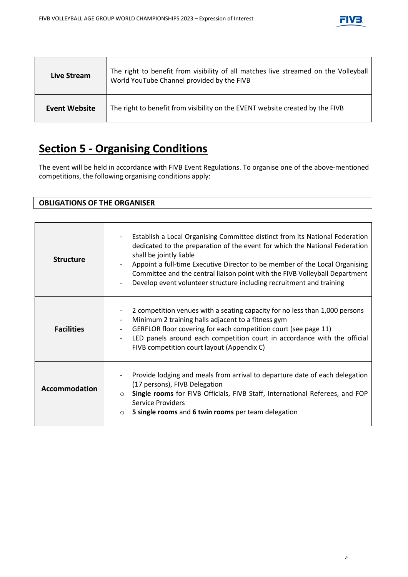

| Live Stream   | The right to benefit from visibility of all matches live streamed on the Volleyball<br>World YouTube Channel provided by the FIVB |
|---------------|-----------------------------------------------------------------------------------------------------------------------------------|
| Event Website | The right to benefit from visibility on the EVENT website created by the FIVB                                                     |

# **Section 5 - Organising Conditions**

The event will be held in accordance with FIVB Event Regulations. To organise one of the above-mentioned competitions, the following organising conditions apply:

### **OBLIGATIONS OF THE ORGANISER**

| <b>Structure</b>     | Establish a Local Organising Committee distinct from its National Federation<br>dedicated to the preparation of the event for which the National Federation<br>shall be jointly liable<br>Appoint a full-time Executive Director to be member of the Local Organising<br>Committee and the central liaison point with the FIVB Volleyball Department<br>Develop event volunteer structure including recruitment and training |
|----------------------|------------------------------------------------------------------------------------------------------------------------------------------------------------------------------------------------------------------------------------------------------------------------------------------------------------------------------------------------------------------------------------------------------------------------------|
| <b>Facilities</b>    | 2 competition venues with a seating capacity for no less than 1,000 persons<br>Minimum 2 training halls adjacent to a fitness gym<br>GERFLOR floor covering for each competition court (see page 11)<br>LED panels around each competition court in accordance with the official<br>FIVB competition court layout (Appendix C)                                                                                               |
| <b>Accommodation</b> | Provide lodging and meals from arrival to departure date of each delegation<br>(17 persons), FIVB Delegation<br>Single rooms for FIVB Officials, FIVB Staff, International Referees, and FOP<br><b>Service Providers</b><br>5 single rooms and 6 twin rooms per team delegation<br>$\circ$                                                                                                                                   |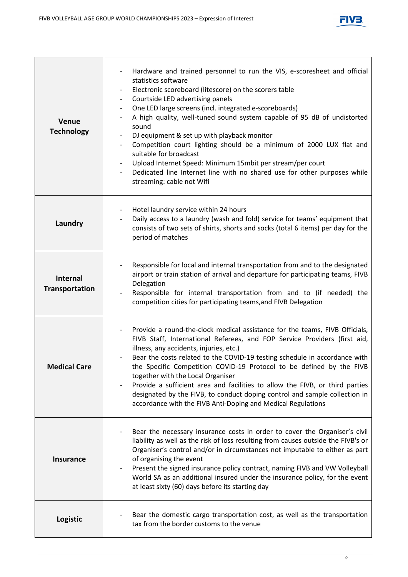

| Venue<br><b>Technology</b>               | Hardware and trained personnel to run the VIS, e-scoresheet and official<br>statistics software<br>Electronic scoreboard (litescore) on the scorers table<br>$\blacksquare$<br>Courtside LED advertising panels<br>$\blacksquare$<br>One LED large screens (incl. integrated e-scoreboards)<br>$\overline{\phantom{a}}$<br>A high quality, well-tuned sound system capable of 95 dB of undistorted<br>sound<br>DJ equipment & set up with playback monitor<br>$\overline{\phantom{0}}$<br>Competition court lighting should be a minimum of 2000 LUX flat and<br>suitable for broadcast<br>Upload Internet Speed: Minimum 15mbit per stream/per court<br>$\blacksquare$<br>Dedicated line Internet line with no shared use for other purposes while<br>streaming: cable not Wifi |
|------------------------------------------|----------------------------------------------------------------------------------------------------------------------------------------------------------------------------------------------------------------------------------------------------------------------------------------------------------------------------------------------------------------------------------------------------------------------------------------------------------------------------------------------------------------------------------------------------------------------------------------------------------------------------------------------------------------------------------------------------------------------------------------------------------------------------------|
| Laundry                                  | Hotel laundry service within 24 hours<br>$\overline{\phantom{a}}$<br>Daily access to a laundry (wash and fold) service for teams' equipment that<br>consists of two sets of shirts, shorts and socks (total 6 items) per day for the<br>period of matches                                                                                                                                                                                                                                                                                                                                                                                                                                                                                                                        |
| <b>Internal</b><br><b>Transportation</b> | Responsible for local and internal transportation from and to the designated<br>airport or train station of arrival and departure for participating teams, FIVB<br>Delegation<br>Responsible for internal transportation from and to (if needed) the<br>competition cities for participating teams, and FIVB Delegation                                                                                                                                                                                                                                                                                                                                                                                                                                                          |
| <b>Medical Care</b>                      | Provide a round-the-clock medical assistance for the teams, FIVB Officials,<br>FIVB Staff, International Referees, and FOP Service Providers (first aid,<br>illness, any accidents, injuries, etc.)<br>Bear the costs related to the COVID-19 testing schedule in accordance with<br>the Specific Competition COVID-19 Protocol to be defined by the FIVB<br>together with the Local Organiser<br>Provide a sufficient area and facilities to allow the FIVB, or third parties<br>designated by the FIVB, to conduct doping control and sample collection in<br>accordance with the FIVB Anti-Doping and Medical Regulations                                                                                                                                                     |
| <b>Insurance</b>                         | Bear the necessary insurance costs in order to cover the Organiser's civil<br>liability as well as the risk of loss resulting from causes outside the FIVB's or<br>Organiser's control and/or in circumstances not imputable to either as part<br>of organising the event<br>Present the signed insurance policy contract, naming FIVB and VW Volleyball<br>World SA as an additional insured under the insurance policy, for the event<br>at least sixty (60) days before its starting day                                                                                                                                                                                                                                                                                      |
| Logistic                                 | Bear the domestic cargo transportation cost, as well as the transportation<br>tax from the border customs to the venue                                                                                                                                                                                                                                                                                                                                                                                                                                                                                                                                                                                                                                                           |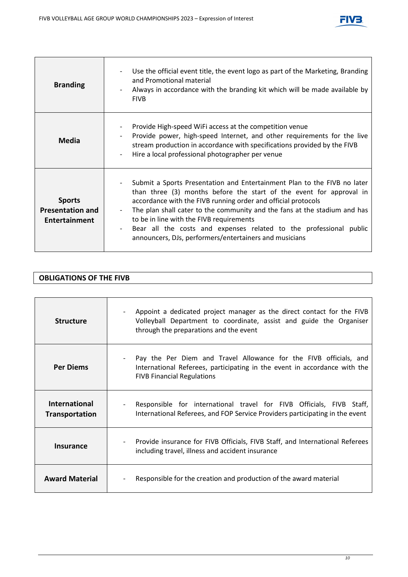

| <b>Branding</b>                                                  | Use the official event title, the event logo as part of the Marketing, Branding<br>and Promotional material<br>Always in accordance with the branding kit which will be made available by<br><b>FIVB</b>                                                                                                                                                                                                                                                                  |
|------------------------------------------------------------------|---------------------------------------------------------------------------------------------------------------------------------------------------------------------------------------------------------------------------------------------------------------------------------------------------------------------------------------------------------------------------------------------------------------------------------------------------------------------------|
| <b>Media</b>                                                     | Provide High-speed WiFi access at the competition venue<br>Provide power, high-speed Internet, and other requirements for the live<br>stream production in accordance with specifications provided by the FIVB<br>Hire a local professional photographer per venue                                                                                                                                                                                                        |
| <b>Sports</b><br><b>Presentation and</b><br><b>Entertainment</b> | Submit a Sports Presentation and Entertainment Plan to the FIVB no later<br>than three (3) months before the start of the event for approval in<br>accordance with the FIVB running order and official protocols<br>The plan shall cater to the community and the fans at the stadium and has<br>to be in line with the FIVB requirements<br>Bear all the costs and expenses related to the professional public<br>announcers, DJs, performers/entertainers and musicians |

| <b>OBLIGATIONS OF THE FIVB</b> |
|--------------------------------|
|--------------------------------|

| <b>Structure</b>                              | Appoint a dedicated project manager as the direct contact for the FIVB<br>Volleyball Department to coordinate, assist and guide the Organiser<br>through the preparations and the event |
|-----------------------------------------------|-----------------------------------------------------------------------------------------------------------------------------------------------------------------------------------------|
| <b>Per Diems</b>                              | Pay the Per Diem and Travel Allowance for the FIVB officials, and<br>International Referees, participating in the event in accordance with the<br><b>FIVB Financial Regulations</b>     |
| <b>International</b><br><b>Transportation</b> | Responsible for international travel for FIVB Officials, FIVB Staff,<br>International Referees, and FOP Service Providers participating in the event                                    |
| <b>Insurance</b>                              | Provide insurance for FIVB Officials, FIVB Staff, and International Referees<br>including travel, illness and accident insurance                                                        |
| <b>Award Material</b>                         | Responsible for the creation and production of the award material                                                                                                                       |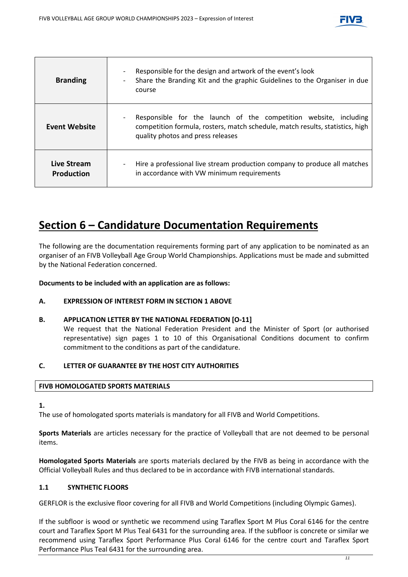

| <b>Branding</b>                  | Responsible for the design and artwork of the event's look<br>Share the Branding Kit and the graphic Guidelines to the Organiser in due<br>course                                      |
|----------------------------------|----------------------------------------------------------------------------------------------------------------------------------------------------------------------------------------|
| <b>Event Website</b>             | Responsible for the launch of the competition website, including<br>competition formula, rosters, match schedule, match results, statistics, high<br>quality photos and press releases |
| Live Stream<br><b>Production</b> | Hire a professional live stream production company to produce all matches<br>$\overline{\phantom{a}}$<br>in accordance with VW minimum requirements                                    |

## **Section 6 – Candidature Documentation Requirements**

The following are the documentation requirements forming part of any application to be nominated as an organiser of an FIVB Volleyball Age Group World Championships. Applications must be made and submitted by the National Federation concerned.

**Documents to be included with an application are as follows:**

### **A. EXPRESSION OF INTEREST FORM IN SECTION 1 ABOVE**

### **B. APPLICATION LETTER BY THE NATIONAL FEDERATION [O-11]**

We request that the National Federation President and the Minister of Sport (or authorised representative) sign pages 1 to 10 of this Organisational Conditions document to confirm commitment to the conditions as part of the candidature.

### **C. LETTER OF GUARANTEE BY THE HOST CITY AUTHORITIES**

### **FIVB HOMOLOGATED SPORTS MATERIALS**

**1.**

The use of homologated sports materials is mandatory for all FIVB and World Competitions.

**Sports Materials** are articles necessary for the practice of Volleyball that are not deemed to be personal items.

**Homologated Sports Materials** are sports materials declared by the FIVB as being in accordance with the Official Volleyball Rules and thus declared to be in accordance with FIVB international standards.

### **1.1 SYNTHETIC FLOORS**

GERFLOR is the exclusive floor covering for all FIVB and World Competitions (including Olympic Games).

If the subfloor is wood or synthetic we recommend using Taraflex Sport M Plus Coral 6146 for the centre court and Taraflex Sport M Plus Teal 6431 for the surrounding area. If the subfloor is concrete or similar we recommend using Taraflex Sport Performance Plus Coral 6146 for the centre court and Taraflex Sport Performance Plus Teal 6431 for the surrounding area.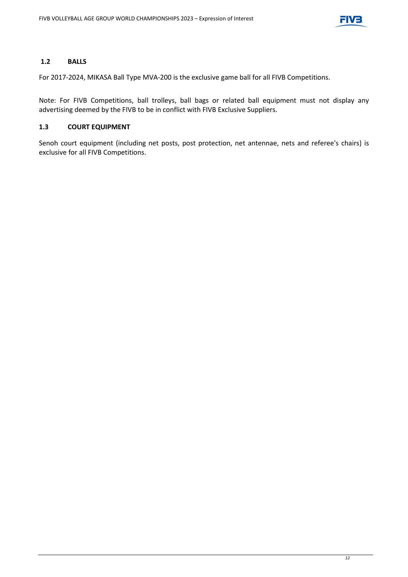

### **1.2 BALLS**

For 2017-2024, MIKASA Ball Type MVA-200 is the exclusive game ball for all FIVB Competitions.

Note: For FIVB Competitions, ball trolleys, ball bags or related ball equipment must not display any advertising deemed by the FIVB to be in conflict with FIVB Exclusive Suppliers.

### **1.3 COURT EQUIPMENT**

Senoh court equipment (including net posts, post protection, net antennae, nets and referee's chairs) is exclusive for all FIVB Competitions.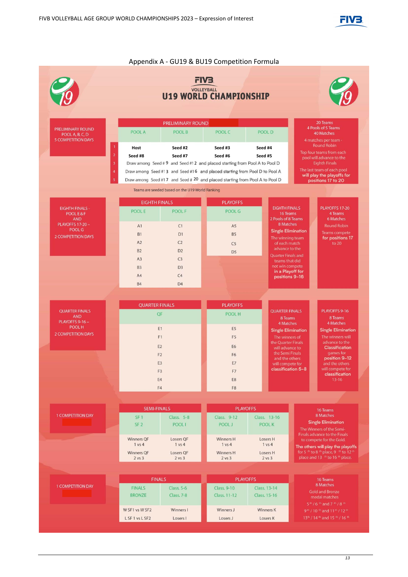

Appendix A - GU19 & BU19 Competition Formula